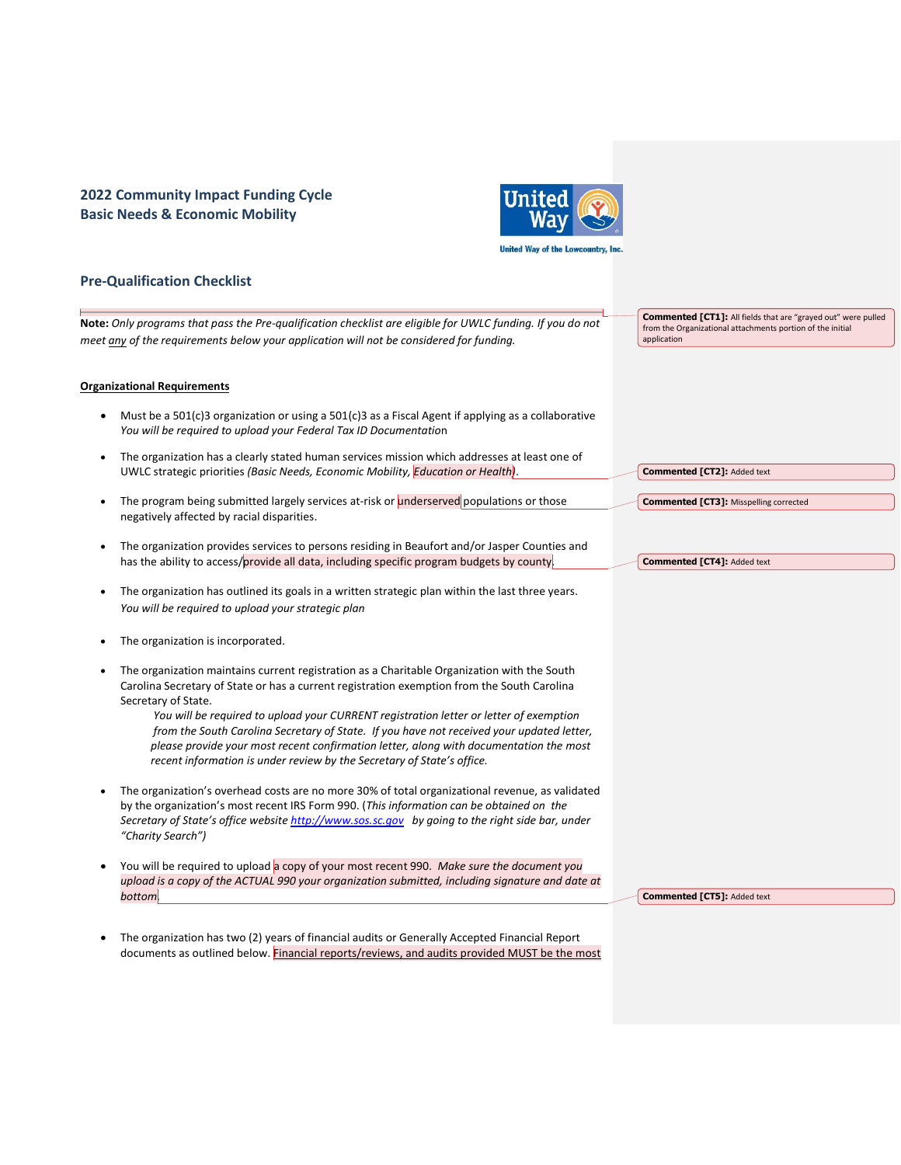# **2022 Community Impact Funding Cycle Basic Needs & Economic Mobility**



# **Pre-Qualification Checklist**

**Note:** *Only programs that pass the Pre-qualification checklist are eligible for UWLC funding. If you do not meet any of the requirements below your application will not be considered for funding.* 

#### **Organizational Requirements**

- Must be a 501(c)3 organization or using a 501(c)3 as a Fiscal Agent if applying as a collaborative *You will be required to upload your Federal Tax ID Documentatio*n
- The organization has a clearly stated human services mission which addresses at least one of UWLC strategic priorities *(Basic Needs, Economic Mobility, Education or Health)*.
- The program being submitted largely services at-risk or underserved populations or those negatively affected by racial disparities.
- The organization provides services to persons residing in Beaufort and/or Jasper Counties and has the ability to access/provide all data, including specific program budgets by county.
- The organization has outlined its goals in a written strategic plan within the last three years. *You will be required to upload your strategic plan*
- The organization is incorporated.
- The organization maintains current registration as a Charitable Organization with the South Carolina Secretary of State or has a current registration exemption from the South Carolina Secretary of State.

 *You will be required to upload your CURRENT registration letter or letter of exemption from the South Carolina Secretary of State. If you have not received your updated letter, please provide your most recent confirmation letter, along with documentation the most recent information is under review by the Secretary of State's office.*

- The organization's overhead costs are no more 30% of total organizational revenue, as validated by the organization's most recent IRS Form 990. (*This information can be obtained on the Secretary of State's office website [http://www.sos.sc.gov](http://www.sos.sc.gov/) by going to the right side bar, under "Charity Search")*
- You will be required to upload a copy of your most recent 990. *Make sure the document you upload is a copy of the ACTUAL 990 your organization submitted, including signature and date at bottom.*
- The organization has two (2) years of financial audits or Generally Accepted Financial Report documents as outlined below. Financial reports/reviews, and audits provided MUST be the most

**Commented [CT1]:** All fields that are "grayed out" were pulled from the Organizational attachments portion of the initial application

**Commented [CT3]:** Misspelling corrected

**Commented [CT4]: Added text** 

**Commented [CT2]:** Added text

**Commented [CT5]:** Added text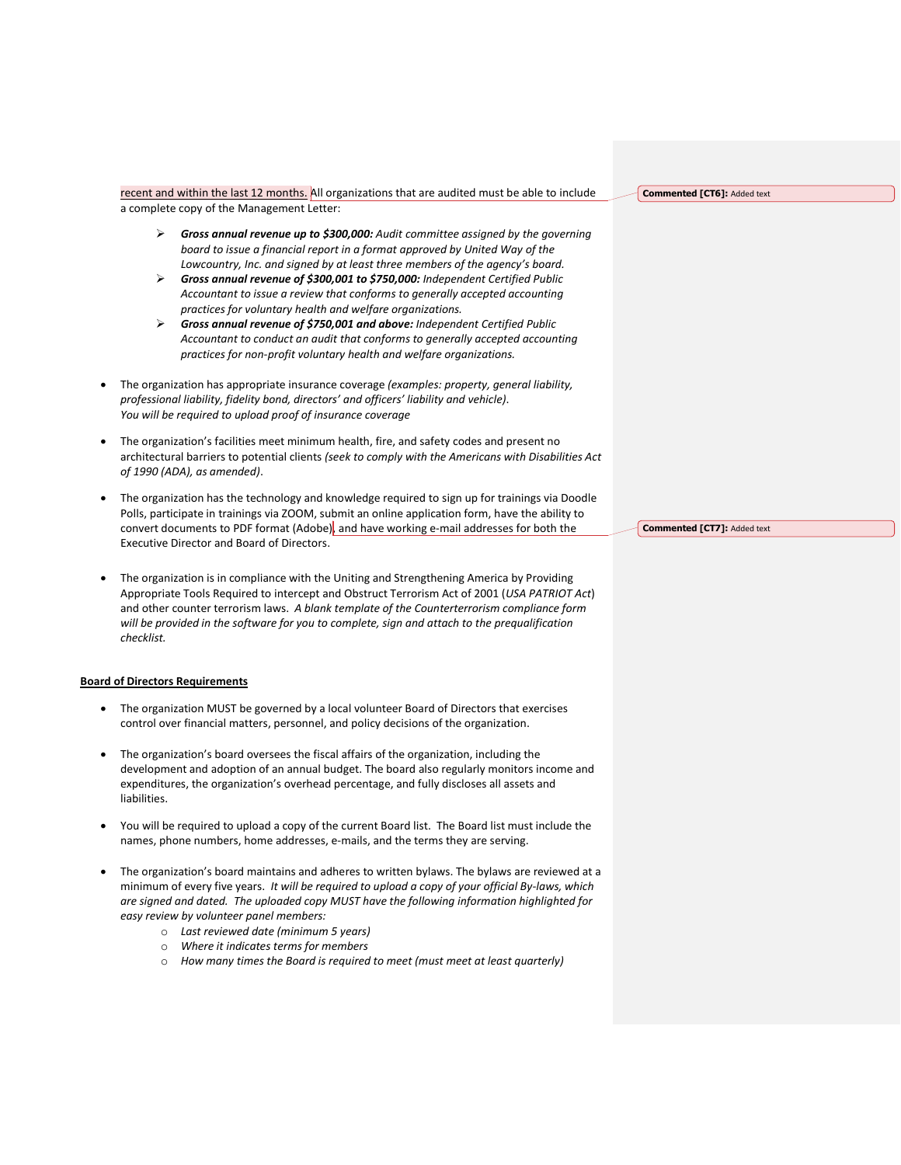recent and within the last 12 months. All organizations that are audited must be able to include a complete copy of the Management Letter:

- ➢ *Gross annual revenue up to \$300,000: Audit committee assigned by the governing board to issue a financial report in a format approved by United Way of the Lowcountry, Inc. and signed by at least three members of the agency's board.*
- ➢ *Gross annual revenue of \$300,001 to \$750,000: Independent Certified Public Accountant to issue a review that conforms to generally accepted accounting practices for voluntary health and welfare organizations.*
- ➢ *Gross annual revenue of \$750,001 and above: Independent Certified Public Accountant to conduct an audit that conforms to generally accepted accounting practices for non-profit voluntary health and welfare organizations.*
- The organization has appropriate insurance coverage *(examples: property, general liability, professional liability, fidelity bond, directors' and officers' liability and vehicle)*. *You will be required to upload proof of insurance coverage*
- The organization's facilities meet minimum health, fire, and safety codes and present no architectural barriers to potential clients *(seek to comply with the Americans with Disabilities Act of 1990 (ADA), as amended)*.
- The organization has the technology and knowledge required to sign up for trainings via Doodle Polls, participate in trainings via ZOOM, submit an online application form, have the ability to convert documents to PDF format (Adobe), and have working e-mail addresses for both the Executive Director and Board of Directors.
- The organization is in compliance with the Uniting and Strengthening America by Providing Appropriate Tools Required to intercept and Obstruct Terrorism Act of 2001 (*USA PATRIOT Act*) and other counter terrorism laws. *A blank template of the Counterterrorism compliance form will be provided in the software for you to complete, sign and attach to the prequalification checklist.*

#### **Board of Directors Requirements**

- The organization MUST be governed by a local volunteer Board of Directors that exercises control over financial matters, personnel, and policy decisions of the organization.
- The organization's board oversees the fiscal affairs of the organization, including the development and adoption of an annual budget. The board also regularly monitors income and expenditures, the organization's overhead percentage, and fully discloses all assets and liabilities.
- You will be required to upload a copy of the current Board list. The Board list must include the names, phone numbers, home addresses, e-mails, and the terms they are serving.
- The organization's board maintains and adheres to written bylaws. The bylaws are reviewed at a minimum of every five years. *It will be required to upload a copy of your official By-laws, which are signed and dated. The uploaded copy MUST have the following information highlighted for easy review by volunteer panel members:*
	- o *Last reviewed date (minimum 5 years)*
	- o *Where it indicates terms for members*
	- o *How many times the Board is required to meet (must meet at least quarterly)*

**Commented [CT6]:** Added text

**Commented [CT7]:** Added text